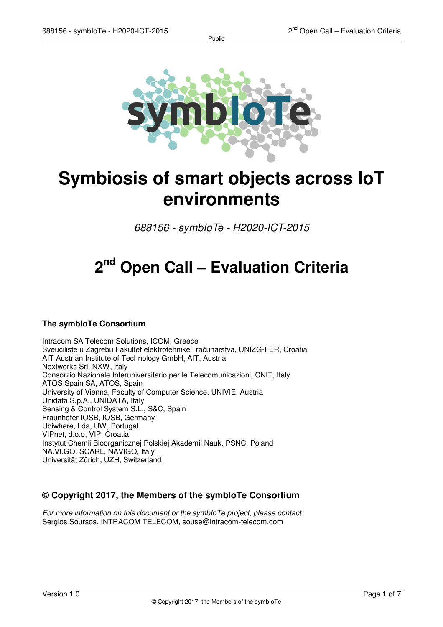

# **Symbiosis of smart objects across IoT environments**

*688156 - symbIoTe - H2020-ICT-2015* 

# **2 nd Open Call – Evaluation Criteria**

### **The symbIoTe Consortium**

Intracom SA Telecom Solutions, ICOM, Greece Sveučiliste u Zagrebu Fakultet elektrotehnike i računarstva, UNIZG-FER, Croatia AIT Austrian Institute of Technology GmbH, AIT, Austria Nextworks Srl, NXW, Italy Consorzio Nazionale Interuniversitario per le Telecomunicazioni, CNIT, Italy ATOS Spain SA, ATOS, Spain University of Vienna, Faculty of Computer Science, UNIVIE, Austria Unidata S.p.A., UNIDATA, Italy Sensing & Control System S.L., S&C, Spain Fraunhofer IOSB, IOSB, Germany Ubiwhere, Lda, UW, Portugal VIPnet, d.o.o, VIP, Croatia Instytut Chemii Bioorganicznej Polskiej Akademii Nauk, PSNC, Poland NA.VI.GO. SCARL, NAVIGO, Italy Universität Zürich, UZH, Switzerland

### **© Copyright 2017, the Members of the symbIoTe Consortium**

*For more information on this document or the symbIoTe project, please contact:*  Sergios Soursos, INTRACOM TELECOM, souse@intracom-telecom.com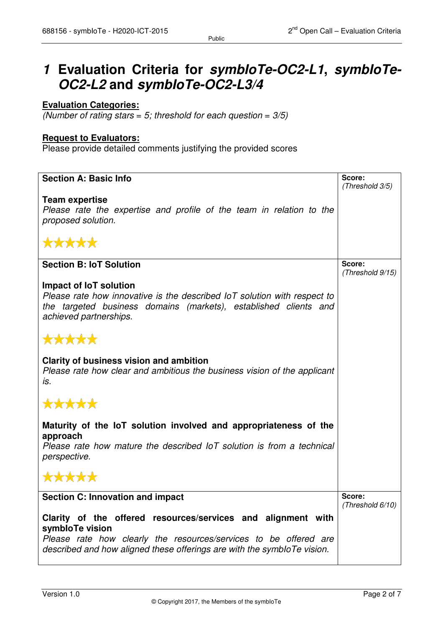## **1 Evaluation Criteria for symbIoTe-OC2-L1, symbIoTe-OC2-L2 and symbIoTe-OC2-L3/4**

### **Evaluation Categories:**

*(Number of rating stars = 5; threshold for each question = 3/5)* 

#### **Request to Evaluators:**

Please provide detailed comments justifying the provided scores

| <b>Section A: Basic Info</b>                                                                                                                                                                                                   | Score:                     |
|--------------------------------------------------------------------------------------------------------------------------------------------------------------------------------------------------------------------------------|----------------------------|
|                                                                                                                                                                                                                                | (Threshold 3/5)            |
| <b>Team expertise</b><br>Please rate the expertise and profile of the team in relation to the<br>proposed solution.<br>*****                                                                                                   |                            |
|                                                                                                                                                                                                                                |                            |
| <b>Section B: IoT Solution</b>                                                                                                                                                                                                 | Score:                     |
| Impact of IoT solution<br>Please rate how innovative is the described IoT solution with respect to<br>the targeted business domains (markets), established clients and<br>achieved partnerships.                               | (Threshold 9/15)           |
| *****                                                                                                                                                                                                                          |                            |
| <b>Clarity of business vision and ambition</b><br>Please rate how clear and ambitious the business vision of the applicant<br>İS.                                                                                              |                            |
| *****                                                                                                                                                                                                                          |                            |
| Maturity of the IoT solution involved and appropriateness of the<br>approach                                                                                                                                                   |                            |
| Please rate how mature the described IoT solution is from a technical<br>perspective.                                                                                                                                          |                            |
| *****                                                                                                                                                                                                                          |                            |
| <b>Section C: Innovation and impact</b>                                                                                                                                                                                        | Score:<br>(Threshold 6/10) |
| Clarity of the offered resources/services and alignment with<br>symbloTe vision<br>Please rate how clearly the resources/services to be offered are<br>described and how aligned these offerings are with the symbloTe vision. |                            |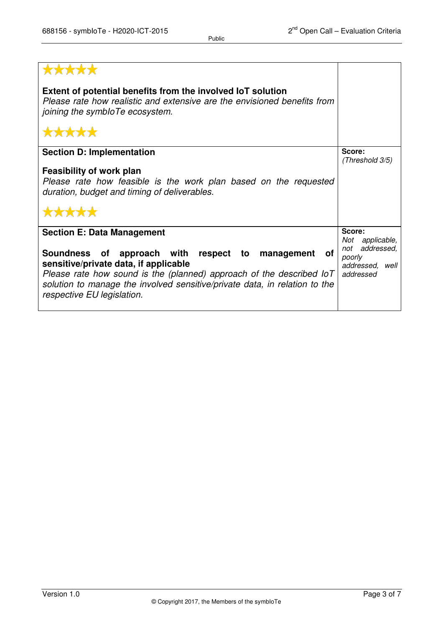| *****                                                                                                                                                                                                                                                                                  |                                                             |
|----------------------------------------------------------------------------------------------------------------------------------------------------------------------------------------------------------------------------------------------------------------------------------------|-------------------------------------------------------------|
| Extent of potential benefits from the involved IoT solution<br>Please rate how realistic and extensive are the envisioned benefits from<br>joining the symbloTe ecosystem.                                                                                                             |                                                             |
| *****                                                                                                                                                                                                                                                                                  |                                                             |
| <b>Section D: Implementation</b>                                                                                                                                                                                                                                                       | Score:<br>(Threshold 3/5)                                   |
| <b>Feasibility of work plan</b><br>Please rate how feasible is the work plan based on the requested<br>duration, budget and timing of deliverables.                                                                                                                                    |                                                             |
| *****                                                                                                                                                                                                                                                                                  |                                                             |
| <b>Section E: Data Management</b>                                                                                                                                                                                                                                                      | Score:<br>applicable,<br>Not                                |
| Soundness of approach with respect to management<br>of<br>sensitive/private data, if applicable<br>Please rate how sound is the (planned) approach of the described $ oT $<br>solution to manage the involved sensitive/private data, in relation to the<br>respective EU legislation. | addressed,<br>not<br>poorly<br>addressed, well<br>addressed |

Public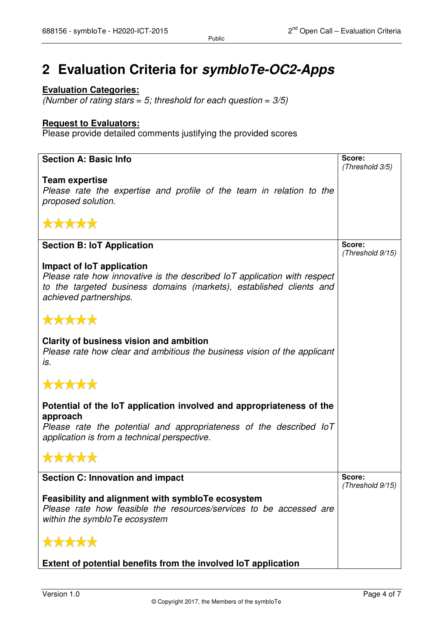# **2 Evaluation Criteria for symbIoTe-OC2-Apps**

## **Evaluation Categories:**

*(Number of rating stars = 5; threshold for each question = 3/5)* 

#### **Request to Evaluators:**

Please provide detailed comments justifying the provided scores

| <b>Section A: Basic Info</b>                                             | Score:<br>(Threshold 3/5) |
|--------------------------------------------------------------------------|---------------------------|
|                                                                          |                           |
| <b>Team expertise</b>                                                    |                           |
| Please rate the expertise and profile of the team in relation to the     |                           |
| proposed solution.                                                       |                           |
|                                                                          |                           |
| *****                                                                    |                           |
| <b>Section B: IoT Application</b>                                        | Score:                    |
|                                                                          | (Threshold 9/15)          |
|                                                                          |                           |
| Impact of IoT application                                                |                           |
| Please rate how innovative is the described IoT application with respect |                           |
| to the targeted business domains (markets), established clients and      |                           |
|                                                                          |                           |
| achieved partnerships.                                                   |                           |
|                                                                          |                           |
| *****                                                                    |                           |
|                                                                          |                           |
|                                                                          |                           |
| Clarity of business vision and ambition                                  |                           |
| Please rate how clear and ambitious the business vision of the applicant |                           |
|                                                                          |                           |
| is.                                                                      |                           |
|                                                                          |                           |
| *****                                                                    |                           |
|                                                                          |                           |
|                                                                          |                           |
| Potential of the IoT application involved and appropriateness of the     |                           |
| approach                                                                 |                           |
|                                                                          |                           |
| Please rate the potential and appropriateness of the described loT       |                           |
| application is from a technical perspective.                             |                           |
|                                                                          |                           |
| *****                                                                    |                           |
|                                                                          |                           |
|                                                                          | Score:                    |
| <b>Section C: Innovation and impact</b>                                  |                           |
|                                                                          | (Threshold 9/15)          |
| Feasibility and alignment with symbloTe ecosystem                        |                           |
| Please rate how feasible the resources/services to be accessed are       |                           |
|                                                                          |                           |
| within the symbloTe ecosystem                                            |                           |
|                                                                          |                           |
| *****                                                                    |                           |
|                                                                          |                           |
|                                                                          |                           |
| Extent of potential benefits from the involved IoT application           |                           |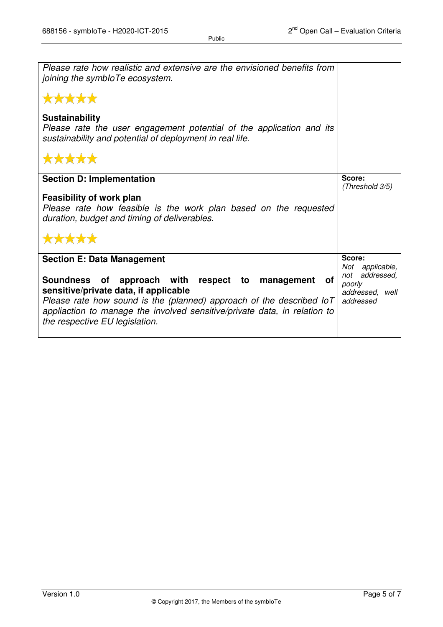| Please rate how realistic and extensive are the envisioned benefits from<br>joining the symbloTe ecosystem.                                                                                                                                                                                      |                                                             |
|--------------------------------------------------------------------------------------------------------------------------------------------------------------------------------------------------------------------------------------------------------------------------------------------------|-------------------------------------------------------------|
| *****                                                                                                                                                                                                                                                                                            |                                                             |
| <b>Sustainability</b><br>Please rate the user engagement potential of the application and its<br>sustainability and potential of deployment in real life.                                                                                                                                        |                                                             |
| *****                                                                                                                                                                                                                                                                                            |                                                             |
| <b>Section D: Implementation</b>                                                                                                                                                                                                                                                                 | Score:<br>(Threshold 3/5)                                   |
| <b>Feasibility of work plan</b><br>Please rate how feasible is the work plan based on the requested<br>duration, budget and timing of deliverables.                                                                                                                                              |                                                             |
| *****                                                                                                                                                                                                                                                                                            |                                                             |
| <b>Section E: Data Management</b>                                                                                                                                                                                                                                                                | Score:<br>Not<br>applicable,                                |
| of approach with respect to management of<br><b>Soundness</b><br>sensitive/private data, if applicable<br>Please rate how sound is the (planned) approach of the described $ oT $<br>appliaction to manage the involved sensitive/private data, in relation to<br>the respective EU legislation. | not addressed,<br>poorly<br>addressed,<br>well<br>addressed |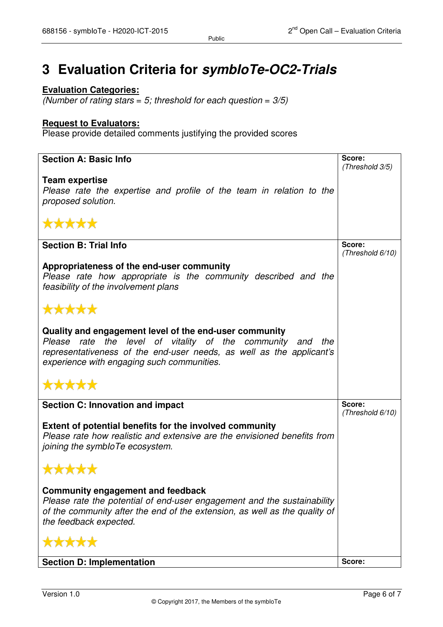# **3 Evaluation Criteria for symbIoTe-OC2-Trials**

### **Evaluation Categories:**

*(Number of rating stars = 5; threshold for each question = 3/5)* 

#### **Request to Evaluators:**

Please provide detailed comments justifying the provided scores

| <b>Section A: Basic Info</b>                                                                                                                          | Score:                     |
|-------------------------------------------------------------------------------------------------------------------------------------------------------|----------------------------|
|                                                                                                                                                       | (Threshold 3/5)            |
| <b>Team expertise</b>                                                                                                                                 |                            |
| Please rate the expertise and profile of the team in relation to the                                                                                  |                            |
| proposed solution.                                                                                                                                    |                            |
|                                                                                                                                                       |                            |
| *****                                                                                                                                                 |                            |
|                                                                                                                                                       |                            |
| <b>Section B: Trial Info</b>                                                                                                                          | Score:<br>(Threshold 6/10) |
|                                                                                                                                                       |                            |
| Appropriateness of the end-user community                                                                                                             |                            |
| Please rate how appropriate is the community described and the                                                                                        |                            |
| feasibility of the involvement plans                                                                                                                  |                            |
| *****                                                                                                                                                 |                            |
|                                                                                                                                                       |                            |
| Quality and engagement level of the end-user community                                                                                                |                            |
| Please rate the level of vitality of the community and the                                                                                            |                            |
| representativeness of the end-user needs, as well as the applicant's                                                                                  |                            |
| experience with engaging such communities.                                                                                                            |                            |
|                                                                                                                                                       |                            |
| *****                                                                                                                                                 |                            |
|                                                                                                                                                       |                            |
| <b>Section C: Innovation and impact</b>                                                                                                               | Score:                     |
|                                                                                                                                                       | (Threshold 6/10)           |
| <b>Extent of potential benefits for the involved community</b>                                                                                        |                            |
| Please rate how realistic and extensive are the envisioned benefits from                                                                              |                            |
| joining the symbloTe ecosystem.                                                                                                                       |                            |
|                                                                                                                                                       |                            |
| *****                                                                                                                                                 |                            |
|                                                                                                                                                       |                            |
| Community engagement and feedback                                                                                                                     |                            |
| Please rate the potential of end-user engagement and the sustainability<br>of the community after the end of the extension, as well as the quality of |                            |
| the feedback expected.                                                                                                                                |                            |
|                                                                                                                                                       |                            |
| *****                                                                                                                                                 |                            |
|                                                                                                                                                       |                            |
| <b>Section D: Implementation</b>                                                                                                                      | Score:                     |